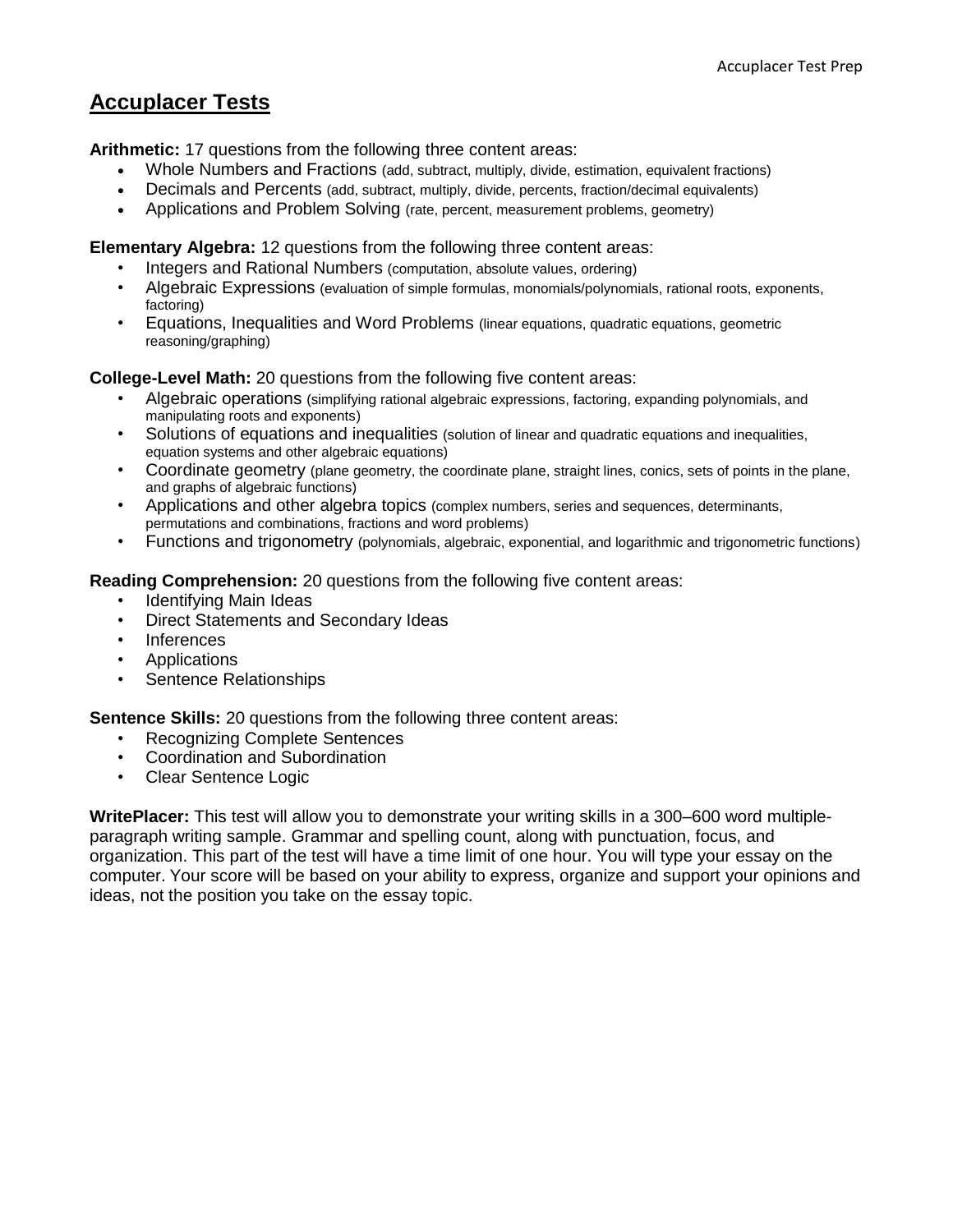# **Accuplacer Tests**

**Arithmetic:** 17 questions from the following three content areas:

- Whole Numbers and Fractions (add, subtract, multiply, divide, estimation, equivalent fractions)
- Decimals and Percents (add, subtract, multiply, divide, percents, fraction/decimal equivalents)
- Applications and Problem Solving (rate, percent, measurement problems, geometry)

## **Elementary Algebra:** 12 questions from the following three content areas:

- Integers and Rational Numbers (computation, absolute values, ordering)
- Algebraic Expressions (evaluation of simple formulas, monomials/polynomials, rational roots, exponents, factoring)
- Equations, Inequalities and Word Problems (linear equations, quadratic equations, geometric reasoning/graphing)

## **College-Level Math:** 20 questions from the following five content areas:

- Algebraic operations (simplifying rational algebraic expressions, factoring, expanding polynomials, and manipulating roots and exponents)
- Solutions of equations and inequalities (solution of linear and quadratic equations and inequalities, equation systems and other algebraic equations)
- Coordinate geometry (plane geometry, the coordinate plane, straight lines, conics, sets of points in the plane, and graphs of algebraic functions)
- Applications and other algebra topics (complex numbers, series and sequences, determinants, permutations and combinations, fractions and word problems)
- Functions and trigonometry (polynomials, algebraic, exponential, and logarithmic and trigonometric functions)

## **Reading Comprehension:** 20 questions from the following five content areas:

- Identifying Main Ideas
- Direct Statements and Secondary Ideas
- Inferences
- Applications
- Sentence Relationships

## **Sentence Skills:** 20 questions from the following three content areas:

- Recognizing Complete Sentences
- Coordination and Subordination
- Clear Sentence Logic

**WritePlacer:** This test will allow you to demonstrate your writing skills in a 300–600 word multipleparagraph writing sample. Grammar and spelling count, along with punctuation, focus, and organization. This part of the test will have a time limit of one hour. You will type your essay on the computer. Your score will be based on your ability to express, organize and support your opinions and ideas, not the position you take on the essay topic.